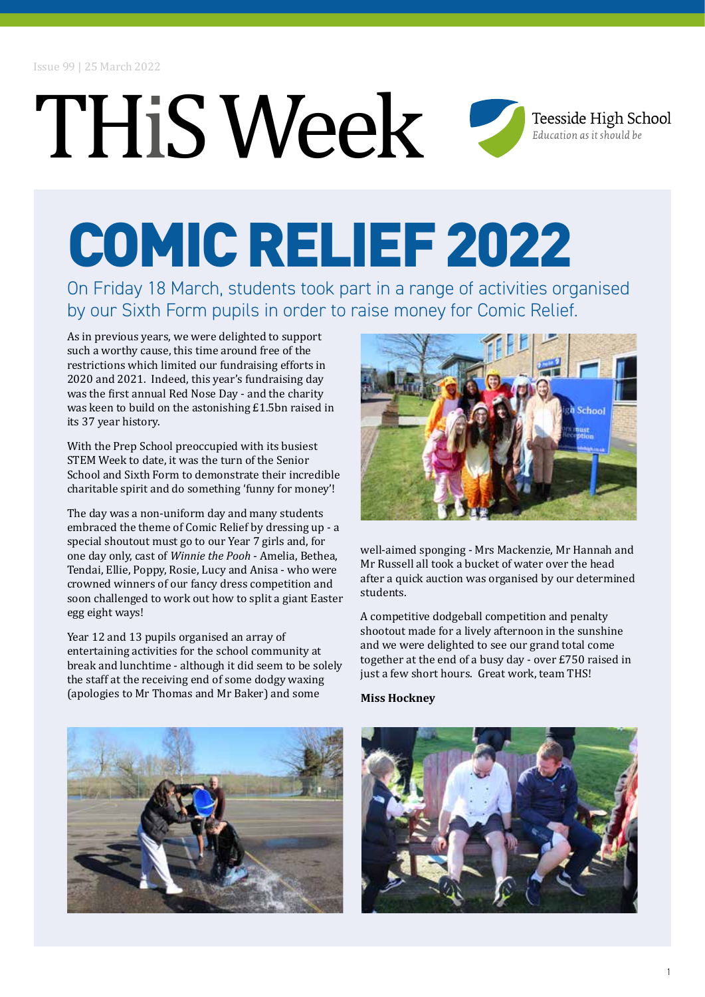### THiS Week Teesside High School Education as it should be

## COMIC RELIEF 2022

On Friday 18 March, students took part in a range of activities organised by our Sixth Form pupils in order to raise money for Comic Relief.

As in previous years, we were delighted to support such a worthy cause, this time around free of the restrictions which limited our fundraising efforts in 2020 and 2021. Indeed, this year's fundraising day was the first annual Red Nose Day - and the charity was keen to build on the astonishing £1.5bn raised in its 37 year history.

With the Prep School preoccupied with its busiest STEM Week to date, it was the turn of the Senior School and Sixth Form to demonstrate their incredible charitable spirit and do something 'funny for money'!

The day was a non-uniform day and many students embraced the theme of Comic Relief by dressing up - a special shoutout must go to our Year 7 girls and, for one day only, cast of *Winnie the Pooh* - Amelia, Bethea, Tendai, Ellie, Poppy, Rosie, Lucy and Anisa - who were crowned winners of our fancy dress competition and soon challenged to work out how to split a giant Easter egg eight ways!

Year 12 and 13 pupils organised an array of entertaining activities for the school community at break and lunchtime - although it did seem to be solely the staff at the receiving end of some dodgy waxing (apologies to Mr Thomas and Mr Baker) and some



well-aimed sponging - Mrs Mackenzie, Mr Hannah and Mr Russell all took a bucket of water over the head after a quick auction was organised by our determined students.

A competitive dodgeball competition and penalty shootout made for a lively afternoon in the sunshine and we were delighted to see our grand total come together at the end of a busy day - over £750 raised in just a few short hours. Great work, team THS!

#### **Miss Hockney**



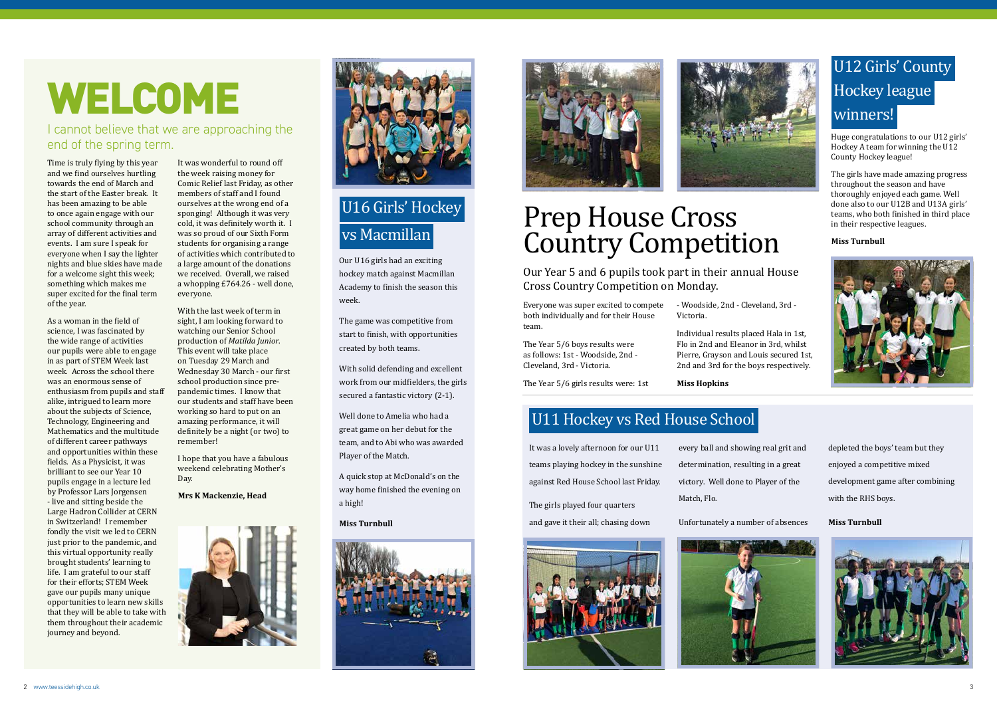## WELCOME

#### I cannot believe that we are approaching the end of the spring term.

Time is truly flying by this year and we find ourselves hurtling towards the end of March and the start of the Easter break. It has been amazing to be able to once again engage with our school community through an array of different activities and events. I am sure I speak for everyone when I say the lighter nights and blue skies have made for a welcome sight this week; something which makes me super excited for the final term of the year.

As a woman in the field of science, I was fascinated by the wide range of activities our pupils were able to engage in as part of STEM Week last week. Across the school there was an enormous sense of enthusiasm from pupils and staff alike, intrigued to learn more about the subjects of Science, Technology, Engineering and Mathematics and the multitude of different career pathways and opportunities within these fields. As a Physicist, it was brilliant to see our Year 10 pupils engage in a lecture led by Professor Lars Jorgensen - live and sitting beside the Large Hadron Collider at CERN in Switzerland! I remember fondly the visit we led to CERN just prior to the pandemic, and this virtual opportunity really brought students' learning to life. I am grateful to our staff for their efforts; STEM Week gave our pupils many unique opportunities to learn new skills that they will be able to take with them throughout their academic journey and beyond.

It was wonderful to round off the week raising money for Comic Relief last Friday, as other members of staff and I found ourselves at the wrong end of a sponging! Although it was very cold, it was definitely worth it. I was so proud of our Sixth Form students for organising a range of activities which contributed to a large amount of the donations we received. Overall, we raised a whopping £764.26 - well done, everyone.

With the last week of term in sight, I am looking forward to watching our Senior School production of *Matilda Junior*. This event will take place on Tuesday 29 March and Wednesday 30 March - our first school production since prepandemic times. I know that our students and staff have been working so hard to put on an amazing performance, it will definitely be a night (or two) to remember!

I hope that you have a fabulous weekend celebrating Mother's Day.

#### **Mrs K Mackenzie, Head**





#### U11 Hockey vs Red House School

It was a lovely afternoon for our U11 teams playing hockey in the sunshine against Red House School last Friday.

The girls played four quarters and gave it their all; chasing down



every ball and showing real grit and determination, resulting in a great victory. Well done to Player of the Match, Flo.

Unfortunately a number of absences



depleted the boys' team but they enjoyed a competitive mixed development game after combining with the RHS boys.

**Miss Turnbull**



### U12 Girls' County Hockey league winners!

Huge congratulations to our U12 girls' Hockey A team for winning the U12 County Hockey league!

The girls have made amazing progress throughout the season and have thoroughly enjoyed each game. Well done also to our U12B and U13A girls' teams, who both finished in third place in their respective leagues.

#### **Miss Turnbull**



### Prep House Cross Country Competition Our Year 5 and 6 pupils took part in their annual House

Cross Country Competition on Monday.

Everyone was super excited to compete both individually and for their House team.

The Year 5/6 boys results were as follows: 1st - Woodside, 2nd - Cleveland, 3rd - Victoria.

The Year 5/6 girls results were: 1st

- Woodside, 2nd - Cleveland, 3rd - Victoria.

Individual results placed Hala in 1st,

Flo in 2nd and Eleanor in 3rd, whilst Pierre, Grayson and Louis secured 1st, 2nd and 3rd for the boys respectively.

**Miss Hopkins**

### U16 Girls' Hockey vs Macmillan

Our U16 girls had an exciting hockey match against Macmillan Academy to finish the season this week.

The game was competitive from start to finish, with opportunities created by both teams.

With solid defending and excellent work from our midfielders, the girls secured a fantastic victory (2-1).

Well done to Amelia who had a great game on her debut for the team, and to Abi who was awarded Player of the Match.

A quick stop at McDonald's on the way home finished the evening on a high!

#### **Miss Turnbull**





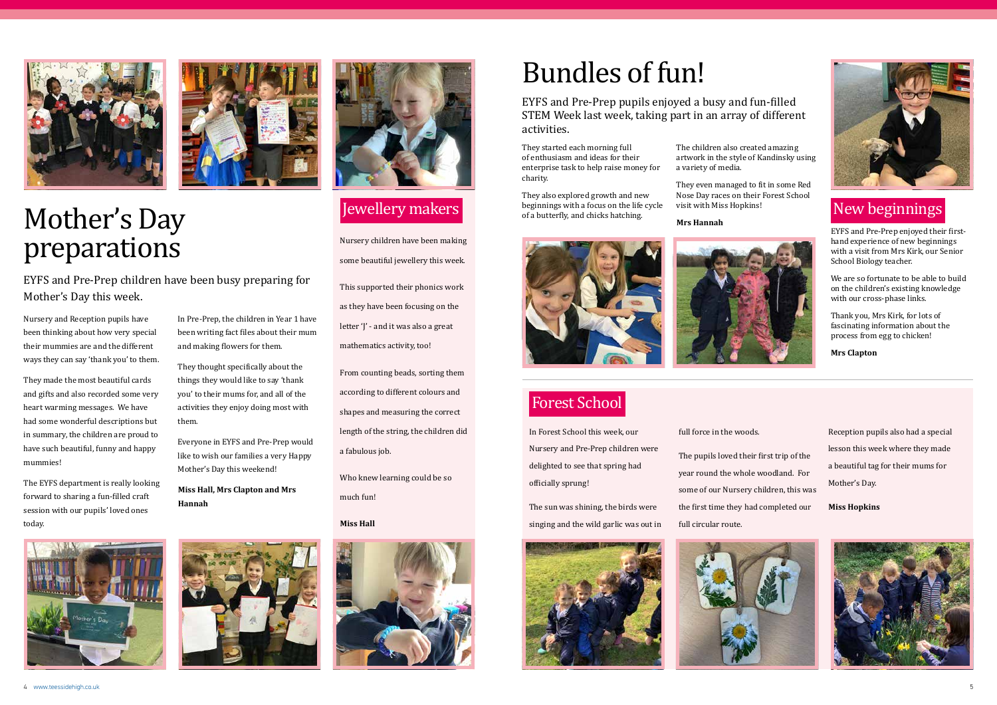4 www.teessidehigh.co.uk 5



#### Jewellery makers

Nursery children have been making some beautiful jewellery this week. This supported their phonics work as they have been focusing on the letter 'I' - and it was also a great mathematics activity, too!

From counting beads, sorting them according to different colours and shapes and measuring the correct length of the string, the children did a fabulous job.

Who knew learning could be so much fun!

#### **Miss Hall**





### Mother's Day preparations

EYFS and Pre-Prep children have been busy preparing for Mother's Day this week.

Nursery and Reception pupils have been thinking about how very special their mummies are and the different ways they can say 'thank you' to them.

They made the most beautiful cards and gifts and also recorded some very heart warming messages. We have had some wonderful descriptions but in summary, the children are proud to have such beautiful, funny and happy mummies!

The EYFS department is really looking forward to sharing a fun-filled craft session with our pupils' loved ones today.





In Pre-Prep, the children in Year 1 have been writing fact files about their mum

and making flowers for them.

They thought specifically about the things they would like to say 'thank you' to their mums for, and all of the activities they enjoy doing most with

them.

Everyone in EYFS and Pre-Prep would like to wish our families a very Happy

Mother's Day this weekend!

**Miss Hall, Mrs Clapton and Mrs** 



**Hannah**

#### Forest School

In Forest School this week, our Nursery and Pre-Prep children were delighted to see that spring had officially sprung!

The sun was shining, the birds were singing and the wild garlic was out in



full force in the woods.

The pupils loved their first trip of the year round the whole woodland. For some of our Nursery children, this was the first time they had completed our full circular route.



Reception pupils also had a special lesson this week where they made a beautiful tag for their mums for Mother's Day.

**Miss Hopkins**



## Bundles of fun!

EYFS and Pre-Prep pupils enjoyed a busy and fun-filled STEM Week last week, taking part in an array of different activities.

They started each morning full of enthusiasm and ideas for their enterprise task to help raise money for charity.

They also explored growth and new beginnings with a focus on the life cycle of a butterfly, and chicks hatching.

The children also created amazing artwork in the style of Kandinsky using a variety of media.

They even managed to fit in some Red Nose Day races on their Forest School visit with Miss Hopkins!

#### **Mrs Hannah**





#### New beginnings

EYFS and Pre-Prep enjoyed their firsthand experience of new beginnings with a visit from Mrs Kirk, our Senior School Biology teacher.

We are so fortunate to be able to build on the children's existing knowledge with our cross-phase links.

Thank you, Mrs Kirk, for lots of fascinating information about the process from egg to chicken!

**Mrs Clapton**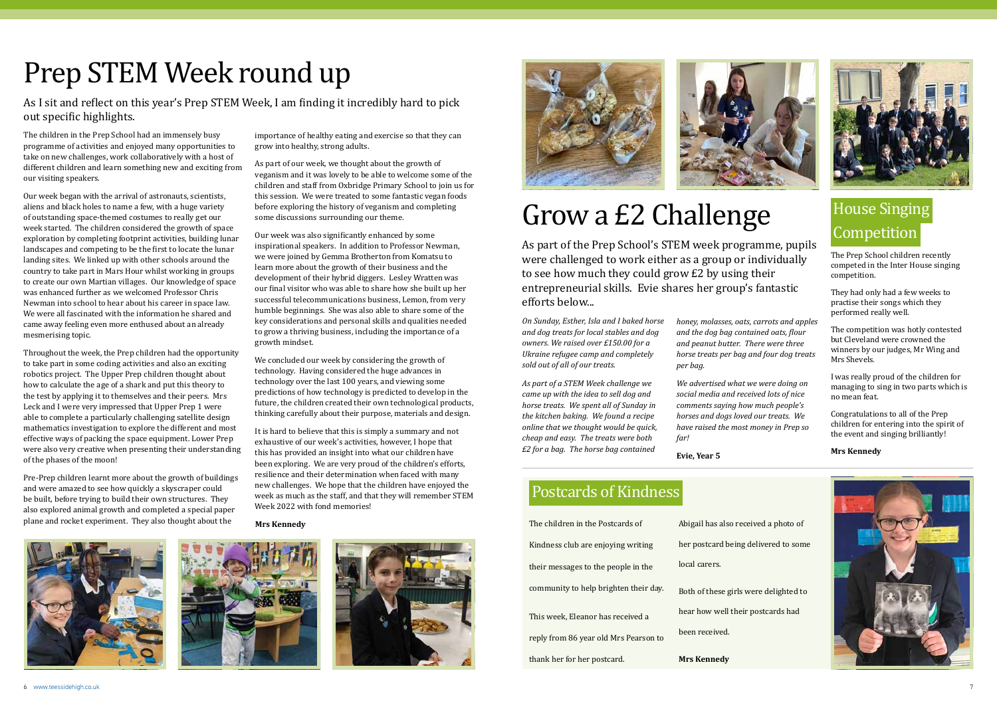



## Prep STEM Week round up

As I sit and reflect on this year's Prep STEM Week, I am finding it incredibly hard to pick out specific highlights.

The children in the Prep School had an immensely busy programme of activities and enjoyed many opportunities to take on new challenges, work collaboratively with a host of different children and learn something new and exciting from our visiting speakers.

Our week began with the arrival of astronauts, scientists, aliens and black holes to name a few, with a huge variety of outstanding space-themed costumes to really get our week started. The children considered the growth of space exploration by completing footprint activities, building lunar landscapes and competing to be the first to locate the lunar landing sites. We linked up with other schools around the country to take part in Mars Hour whilst working in groups to create our own Martian villages. Our knowledge of space was enhanced further as we welcomed Professor Chris Newman into school to hear about his career in space law. We were all fascinated with the information he shared and came away feeling even more enthused about an already mesmerising topic.

Throughout the week, the Prep children had the opportunity to take part in some coding activities and also an exciting robotics project. The Upper Prep children thought about how to calculate the age of a shark and put this theory to the test by applying it to themselves and their peers. Mrs Leck and I were very impressed that Upper Prep 1 were able to complete a particularly challenging satellite design mathematics investigation to explore the different and most effective ways of packing the space equipment. Lower Prep were also very creative when presenting their understanding of the phases of the moon!

Pre-Prep children learnt more about the growth of buildings and were amazed to see how quickly a skyscraper could be built, before trying to build their own structures. They also explored animal growth and completed a special paper plane and rocket experiment. They also thought about the

importance of healthy eating and exercise so that they can grow into healthy, strong adults.

As part of our week, we thought about the growth of veganism and it was lovely to be able to welcome some of the children and staff from Oxbridge Primary School to join us for this session. We were treated to some fantastic vegan foods before exploring the history of veganism and completing some discussions surrounding our theme.

Our week was also significantly enhanced by some inspirational speakers. In addition to Professor Newman, we were joined by Gemma Brotherton from Komatsu to learn more about the growth of their business and the development of their hybrid diggers. Lesley Wratten was our final visitor who was able to share how she built up her successful telecommunications business, Lemon, from very humble beginnings. She was also able to share some of the key considerations and personal skills and qualities needed to grow a thriving business, including the importance of a growth mindset.

We concluded our week by considering the growth of technology. Having considered the huge advances in technology over the last 100 years, and viewing some predictions of how technology is predicted to develop in the future, the children created their own technological products, thinking carefully about their purpose, materials and design.

It is hard to believe that this is simply a summary and not exhaustive of our week's activities, however, I hope that this has provided an insight into what our children have been exploring. We are very proud of the children's efforts, resilience and their determination when faced with many new challenges. We hope that the children have enjoyed the week as much as the staff, and that they will remember STEM Week 2022 with fond memories!

**Mrs Kennedy**









#### Postcards of Kindness

| thank her for her postcard.           | <b>Mrs Kennedy</b>      |
|---------------------------------------|-------------------------|
| reply from 86 year old Mrs Pearson to | been received.          |
| This week, Eleanor has received a     | hear how well their p   |
| community to help brighten their day. | Both of these girls we  |
| their messages to the people in the   | local carers.           |
| Kindness club are enjoying writing    | her postcard being de   |
| The children in the Postcards of      | Abigail has also receiv |
|                                       |                         |

### House Singing Competition

The Prep School children recently competed in the Inter House singing competition.

They had only had a few weeks to practise their songs which they performed really well.

The competition was hotly contested but Cleveland were crowned the winners by our judges, Mr Wing and Mrs Shevels.

I was really proud of the children for managing to sing in two parts which is no mean feat.

Congratulations to all of the Prep children for entering into the spirit of the event and singing brilliantly!

**Mrs Kennedy**

ved a photo of elivered to some

ere delighted to

ostcards had



## Grow a £2 Challenge

As part of the Prep School's STEM week programme, pupils were challenged to work either as a group or individually to see how much they could grow £2 by using their entrepreneurial skills. Evie shares her group's fantastic efforts below...

*On Sunday, Esther, Isla and I baked horse and dog treats for local stables and dog owners. We raised over £150.00 for a Ukraine refugee camp and completely sold out of all of our treats.*

*As part of a STEM Week challenge we came up with the idea to sell dog and horse treats. We spent all of Sunday in the kitchen baking. We found a recipe online that we thought would be quick, cheap and easy. The treats were both £2 for a bag. The horse bag contained* 

*honey, molasses, oats, carrots and apples and the dog bag contained oats, flour and peanut butter. There were three horse treats per bag and four dog treats per bag.*

*We advertised what we were doing on social media and received lots of nice comments saying how much people's horses and dogs loved our treats. We have raised the most money in Prep so far!*

**Evie, Year 5**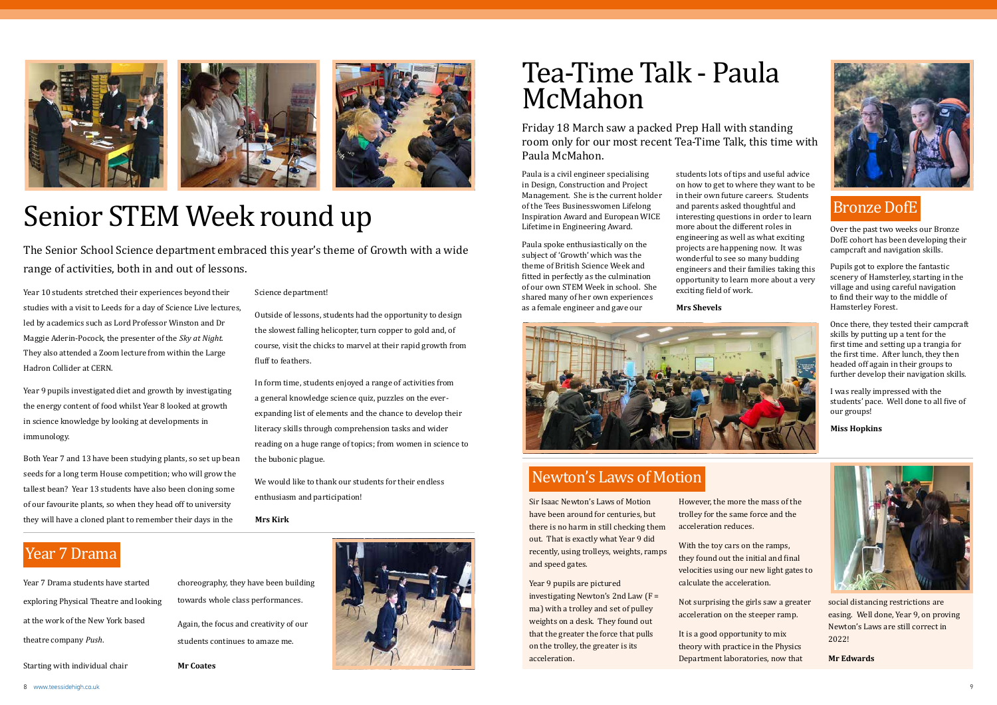







## Senior STEM Week round up

The Senior School Science department embraced this year's theme of Growth with a wide range of activities, both in and out of lessons.

Year 10 students stretched their experiences beyond their studies with a visit to Leeds for a day of Science Live lectures, led by academics such as Lord Professor Winston and Dr Maggie Aderin-Pocock, the presenter of the *Sky at Night*. They also attended a Zoom lecture from within the Large Hadron Collider at CERN.

Year 9 pupils investigated diet and growth by investigating the energy content of food whilst Year 8 looked at growth in science knowledge by looking at developments in immunology.

Both Year 7 and 13 have been studying plants, so set up bean seeds for a long term House competition; who will grow the tallest bean? Year 13 students have also been cloning some of our favourite plants, so when they head off to university they will have a cloned plant to remember their days in the

Science department!

Outside of lessons, students had the opportunity to design the slowest falling helicopter, turn copper to gold and, of course, visit the chicks to marvel at their rapid growth from fluff to feathers.

In form time, students enjoyed a range of activities from a general knowledge science quiz, puzzles on the everexpanding list of elements and the chance to develop their literacy skills through comprehension tasks and wider reading on a huge range of topics; from women in science to the bubonic plague.

We would like to thank our students for their endless enthusiasm and participation!

**Mrs Kirk**

### Tea-Time Talk - Paula McMahon

Friday 18 March saw a packed Prep Hall with standing room only for our most recent Tea-Time Talk, this time with Paula McMahon.

Paula is a civil engineer specialising in Design, Construction and Project Management. She is the current holder of the Tees Businesswomen Lifelong Inspiration Award and European WICE Lifetime in Engineering Award.

Paula spoke enthusiastically on the subject of 'Growth' which was the theme of British Science Week and fitted in perfectly as the culmination of our own STEM Week in school. She shared many of her own experiences as a female engineer and gave our

students lots of tips and useful advice on how to get to where they want to be in their own future careers. Students and parents asked thoughtful and interesting questions in order to learn more about the different roles in engineering as well as what exciting projects are happening now. It was wonderful to see so many budding engineers and their families taking this opportunity to learn more about a very exciting field of work.

**Mrs Shevels**



#### Bronze DofE

Over the past two weeks our Bronze DofE cohort has been developing their campcraft and navigation skills.

Pupils got to explore the fantastic scenery of Hamsterley, starting in the village and using careful navigation to find their way to the middle of Hamsterley Forest.

Once there, they tested their campcraft skills by putting up a tent for the first time and setting up a trangia for the first time. After lunch, they then headed off again in their groups to further develop their navigation skills.

I was really impressed with the students' pace. Well done to all five of our groups!

**Miss Hopkins**

#### Newton's Laws of Motion

Sir Isaac Newton's Laws of Motion have been around for centuries, but there is no harm in still checking them out. That is exactly what Year 9 did recently, using trolleys, weights, ramps and speed gates.

Year 9 pupils are pictured investigating Newton's 2nd Law (F = ma) with a trolley and set of pulley weights on a desk. They found out that the greater the force that pulls on the trolley, the greater is its acceleration.

However, the more the mass of the trolley for the same force and the acceleration reduces.

With the toy cars on the ramps, they found out the initial and final velocities using our new light gates to calculate the acceleration.

Not surprising the girls saw a greater acceleration on the steeper ramp.

It is a good opportunity to mix theory with practice in the Physics Department laboratories, now that



social distancing restrictions are easing. Well done, Year 9, on proving Newton's Laws are still correct in 2022!

**Mr Edwards**

#### Year 7 Drama

Year 7 Drama students have started exploring Physical Theatre and looking at the work of the New York based theatre company *Push*.

Starting with individual chair

choreography, they have been building towards whole class performances. Again, the focus and creativity of our students continues to amaze me.

**Mr Coates**